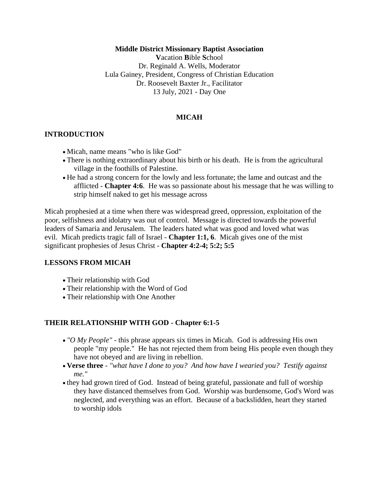#### **Middle District Missionary Baptist Association**

**V**acation **B**ible **S**chool Dr. Reginald A. Wells, Moderator Lula Gainey, President, Congress of Christian Education Dr. Roosevelt Baxter Jr., Facilitator 13 July, 2021 - Day One

## **MICAH**

#### **INTRODUCTION**

- Micah, name means "who is like God"
- There is nothing extraordinary about his birth or his death. He is from the agricultural village in the foothills of Palestine.
- He had a strong concern for the lowly and less fortunate; the lame and outcast and the afflicted - **Chapter 4:6**. He was so passionate about his message that he was willing to strip himself naked to get his message across

Micah prophesied at a time when there was widespread greed, oppression, exploitation of the poor, selfishness and idolatry was out of control. Message is directed towards the powerful leaders of Samaria and Jerusalem. The leaders hated what was good and loved what was evil. Micah predicts tragic fall of Israel - **Chapter 1:1, 6**. Micah gives one of the mist significant prophesies of Jesus Christ - **Chapter 4:2-4; 5:2; 5:5**

### **LESSONS FROM MICAH**

- Their relationship with God
- Their relationship with the Word of God
- Their relationship with One Another

## **THEIR RELATIONSHIP WITH GOD - Chapter 6:1-5**

- *"O My People"* this phrase appears six times in Micah. God is addressing His own people "my people." He has not rejected them from being His people even though they have not obeyed and are living in rebellion.
- **Verse three** *"what have I done to you? And how have I wearied you? Testify against me."*
- they had grown tired of God. Instead of being grateful, passionate and full of worship they have distanced themselves from God. Worship was burdensome, God's Word was neglected, and everything was an effort. Because of a backslidden, heart they started to worship idols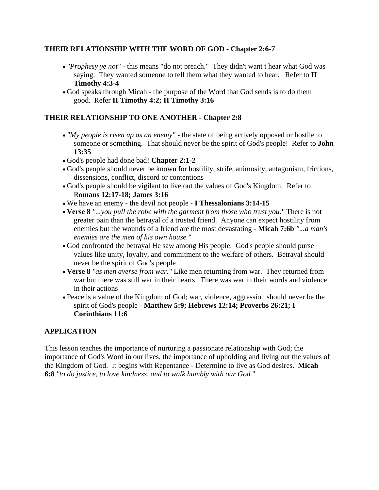## **THEIR RELATIONSHIP WITH THE WORD OF GOD - Chapter 2:6-7**

- *"Prophesy ye not"* this means "do not preach." They didn't want t hear what God was saying. They wanted someone to tell them what they wanted to hear. Refer to **II Timothy 4:3-4**
- God speaks through Micah the purpose of the Word that God sends is to do them good. Refer **II Timothy 4:2; II Timothy 3:16**

# **THEIR RELATIONSHIP TO ONE ANOTHER - Chapter 2:8**

- *"My people is risen up as an enemy"* the state of being actively opposed or hostile to someone or something. That should never be the spirit of God's people! Refer to **John 13:35**
- God's people had done bad! **Chapter 2:1-2**
- God's people should never be known for hostility, strife, animosity, antagonism, frictions, dissensions, conflict, discord or contentions
- God's people should be vigilant to live out the values of God's Kingdom. Refer to R**omans 12:17-18; James 3:16**
- We have an enemy the devil not people **I Thessalonians 3:14-15**
- **Verse 8** *"...you pull the robe with the garment from those who trust you."* There is not greater pain than the betrayal of a trusted friend. Anyone can expect hostility from enemies but the wounds of a friend are the most devastating - **Micah 7:6b** *"...a man's enemies are the men of his own house."*
- God confronted the betrayal He saw among His people. God's people should purse values like unity, loyalty, and commitment to the welfare of others. Betrayal should never be the spirit of God's people
- **Verse 8** *"as men averse from war."* Like men returning from war. They returned from war but there was still war in their hearts. There was war in their words and violence in their actions
- Peace is a value of the Kingdom of God; war, violence, aggression should never be the spirit of God's people - **Matthew 5:9; Hebrews 12:14; Proverbs 26:21; I Corinthians 11:6**

## **APPLICATION**

This lesson teaches the importance of nurturing a passionate relationship with God; the importance of God's Word in our lives, the importance of upholding and living out the values of the Kingdom of God. It begins with Repentance - Determine to live as God desires. **Micah 6:8** *"to do justice, to love kindness, and to walk humbly with our God.*"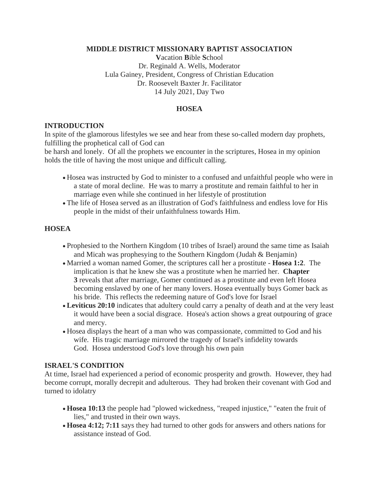## **MIDDLE DISTRICT MISSIONARY BAPTIST ASSOCIATION**

**V**acation **B**ible **S**chool Dr. Reginald A. Wells, Moderator Lula Gainey, President, Congress of Christian Education Dr. Roosevelt Baxter Jr. Facilitator 14 July 2021, Day Two

# **HOSEA**

# **INTRODUCTION**

In spite of the glamorous lifestyles we see and hear from these so-called modern day prophets, fulfilling the prophetical call of God can

be harsh and lonely. Of all the prophets we encounter in the scriptures, Hosea in my opinion holds the title of having the most unique and difficult calling.

- Hosea was instructed by God to minister to a confused and unfaithful people who were in a state of moral decline. He was to marry a prostitute and remain faithful to her in marriage even while she continued in her lifestyle of prostitution
- The life of Hosea served as an illustration of God's faithfulness and endless love for His people in the midst of their unfaithfulness towards Him.

## **HOSEA**

- Prophesied to the Northern Kingdom (10 tribes of Israel) around the same time as Isaiah and Micah was prophesying to the Southern Kingdom (Judah & Benjamin)
- Married a woman named Gomer, the scriptures call her a prostitute **Hosea 1:2**. The implication is that he knew she was a prostitute when he married her. **Chapter 3** reveals that after marriage, Gomer continued as a prostitute and even left Hosea becoming enslaved by one of her many lovers. Hosea eventually buys Gomer back as his bride. This reflects the redeeming nature of God's love for Israel
- **Leviticus 20:10** indicates that adultery could carry a penalty of death and at the very least it would have been a social disgrace. Hosea's action shows a great outpouring of grace and mercy.
- Hosea displays the heart of a man who was compassionate, committed to God and his wife. His tragic marriage mirrored the tragedy of Israel's infidelity towards God. Hosea understood God's love through his own pain

## **ISRAEL'S CONDITION**

At time, Israel had experienced a period of economic prosperity and growth. However, they had become corrupt, morally decrepit and adulterous. They had broken their covenant with God and turned to idolatry

- **Hosea 10:13** the people had "plowed wickedness, "reaped injustice," "eaten the fruit of lies," and trusted in their own ways.
- **Hosea 4:12; 7:11** says they had turned to other gods for answers and others nations for assistance instead of God.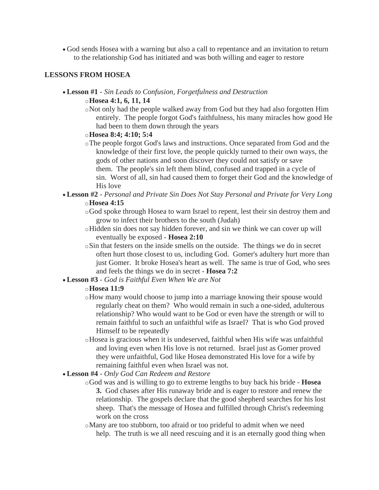• God sends Hosea with a warning but also a call to repentance and an invitation to return to the relationship God has initiated and was both willing and eager to restore

## **LESSONS FROM HOSEA**

• **Lesson #1** - *Sin Leads to Confusion, Forgetfulness and Destruction*

#### o**Hosea 4:1, 6, 11, 14**

oNot only had the people walked away from God but they had also forgotten Him entirely. The people forgot God's faithfulness, his many miracles how good He had been to them down through the years

#### o**Hosea 8:4; 4:10; 5:4**

- oThe people forgot God's laws and instructions. Once separated from God and the knowledge of their first love, the people quickly turned to their own ways, the gods of other nations and soon discover they could not satisfy or save them. The people's sin left them blind, confused and trapped in a cycle of sin. Worst of all, sin had caused them to forget their God and the knowledge of His love
- **Lesson #2** *Personal and Private Sin Does Not Stay Personal and Private for Very Long* o**Hosea 4:15**
	- oGod spoke through Hosea to warn Israel to repent, lest their sin destroy them and grow to infect their brothers to the south (Judah)
	- oHidden sin does not say hidden forever, and sin we think we can cover up will eventually be exposed - **Hosea 2:10**
	- oSin that festers on the inside smells on the outside. The things we do in secret often hurt those closest to us, including God. Gomer's adultery hurt more than just Gomer. It broke Hosea's heart as well. The same is true of God, who sees and feels the things we do in secret - **Hosea 7:2**
- **Lesson #3** *God is Faithful Even When We are Not*

#### o**Hosea 11:9**

- oHow many would choose to jump into a marriage knowing their spouse would regularly cheat on them? Who would remain in such a one-sided, adulterous relationship? Who would want to be God or even have the strength or will to remain faithful to such an unfaithful wife as Israel? That is who God proved Himself to be repeatedly
- oHosea is gracious when it is undeserved, faithful when His wife was unfaithful and loving even when His love is not returned. Israel just as Gomer proved they were unfaithful, God like Hosea demonstrated His love for a wife by remaining faithful even when Israel was not.
- **Lesson #4** *Only God Can Redeem and Restore*
	- oGod was and is willing to go to extreme lengths to buy back his bride **Hosea 3.** God chases after His runaway bride and is eager to restore and renew the relationship. The gospels declare that the good shepherd searches for his lost sheep. That's the message of Hosea and fulfilled through Christ's redeeming work on the cross
	- oMany are too stubborn, too afraid or too prideful to admit when we need help. The truth is we all need rescuing and it is an eternally good thing when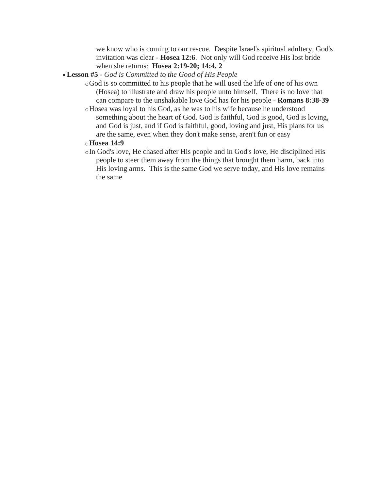we know who is coming to our rescue. Despite Israel's spiritual adultery, God's invitation was clear - **Hosea 12:6**. Not only will God receive His lost bride when she returns: **Hosea 2:19-20; 14:4, 2**

- **Lesson #5** *God is Committed to the Good of His People*
	- oGod is so committed to his people that he will used the life of one of his own (Hosea) to illustrate and draw his people unto himself. There is no love that can compare to the unshakable love God has for his people - **Romans 8:38-39**
	- oHosea was loyal to his God, as he was to his wife because he understood something about the heart of God. God is faithful, God is good, God is loving, and God is just, and if God is faithful, good, loving and just, His plans for us are the same, even when they don't make sense, aren't fun or easy

## o**Hosea 14:9**

oIn God's love, He chased after His people and in God's love, He disciplined His people to steer them away from the things that brought them harm, back into His loving arms. This is the same God we serve today, and His love remains the same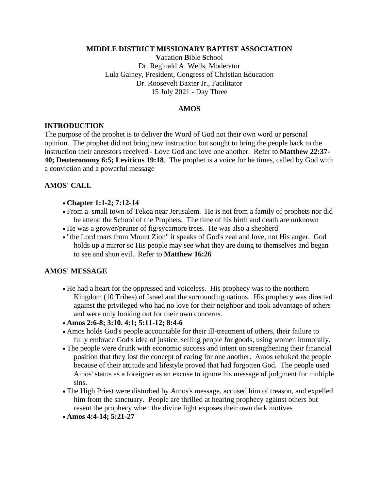#### **MIDDLE DISTRICT MISSIONARY BAPTIST ASSOCIATION**

**V**acation **B**ible **S**chool Dr. Reginald A. Wells, Moderator Lula Gainey, President, Congress of Christian Education Dr. Roosevelt Baxter Jr., Facilitator 15 July 2021 - Day Three

## **AMOS**

## **INTRODUCTION**

The purpose of the prophet is to deliver the Word of God not their own word or personal opinion. The prophet did not bring new instruction but sought to bring the people back to the instruction their ancestors received - Love God and love one another. Refer to **Matthew 22:37- 40; Deuteronomy 6:5; Leviticus 19:18**. The prophet is a voice for he times, called by God with a conviction and a powerful message

## **AMOS' CALL**

- **Chapter 1:1-2; 7:12-14**
- From a small town of Tekoa near Jerusalem. He is not from a family of prophets nor did he attend the School of the Prophets. The time of his birth and death are unknown
- He was a grower/pruner of fig/sycamore trees. He was also a shepherd
- "the Lord roars from Mount Zion" it speaks of God's zeal and love, not His anger. God holds up a mirror so His people may see what they are doing to themselves and began to see and shun evil. Refer to **Matthew 16:26**

## **AMOS' MESSAGE**

- He had a heart for the oppressed and voiceless. His prophecy was to the northern Kingdom (10 Tribes) of Israel and the surrounding nations. His prophecy was directed against the privileged who had no love for their neighbor and took advantage of others and were only looking out for their own concerns.
- **Amos 2:6-8; 3:10. 4:1; 5:11-12; 8:4-6**
- Amos holds God's people accountable for their ill-treatment of others, their failure to fully embrace God's idea of justice, selling people for goods, using women immorally.
- The people were drunk with economic success and intent on strengthening their financial position that they lost the concept of caring for one another. Amos rebuked the people because of their attitude and lifestyle proved that had forgotten God. The people used Amos' status as a foreigner as an excuse to ignore his message of judgment for multiple sins.
- The High Priest were disturbed by Amos's message, accused him of treason, and expelled him from the sanctuary. People are thrilled at hearing prophecy against others but resent the prophecy when the divine light exposes their own dark motives
- **Amos 4:4-14; 5:21-27**